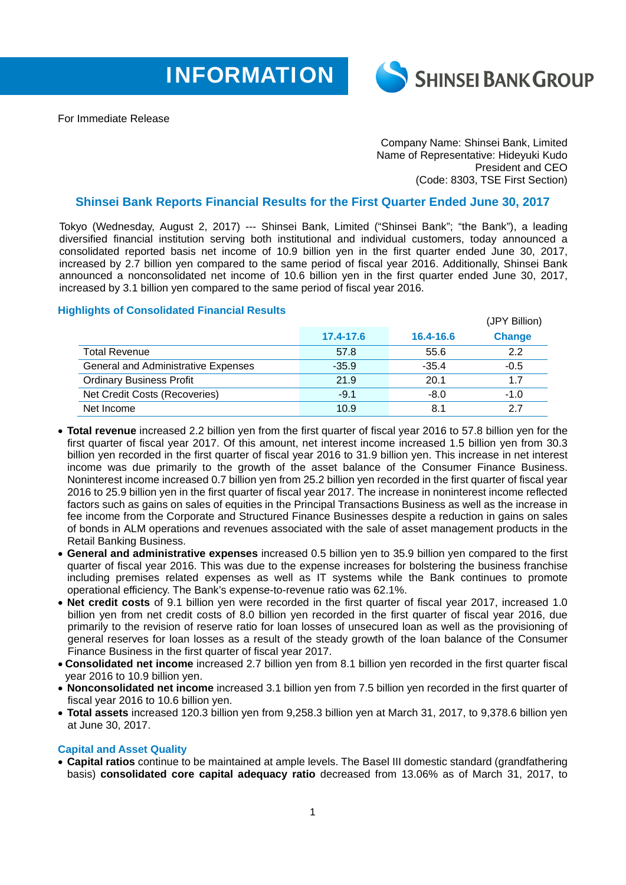



For Immediate Release

Company Name: Shinsei Bank, Limited Name of Representative: Hideyuki Kudo President and CEO (Code: 8303, TSE First Section)

## **Shinsei Bank Reports Financial Results for the First Quarter Ended June 30, 2017**

Tokyo (Wednesday, August 2, 2017) --- Shinsei Bank, Limited ("Shinsei Bank"; "the Bank"), a leading diversified financial institution serving both institutional and individual customers, today announced a consolidated reported basis net income of 10.9 billion yen in the first quarter ended June 30, 2017, increased by 2.7 billion yen compared to the same period of fiscal year 2016. Additionally, Shinsei Bank announced a nonconsolidated net income of 10.6 billion yen in the first quarter ended June 30, 2017, increased by 3.1 billion yen compared to the same period of fiscal year 2016.

## **Highlights of Consolidated Financial Results**

| <b>Expired the Concompanya Financial Roberto</b> |           |           | (JPY Billion) |
|--------------------------------------------------|-----------|-----------|---------------|
|                                                  | 17.4-17.6 | 16.4-16.6 | <b>Change</b> |
| <b>Total Revenue</b>                             | 57.8      | 55.6      | 2.2           |
| <b>General and Administrative Expenses</b>       | $-35.9$   | $-35.4$   | $-0.5$        |
| <b>Ordinary Business Profit</b>                  | 21.9      | 20.1      | 1.7           |
| Net Credit Costs (Recoveries)                    | $-9.1$    | $-8.0$    | $-1.0$        |
| Net Income                                       | 10.9      | 8.1       | 2.7           |

- **Total revenue** increased 2.2 billion yen from the first quarter of fiscal year 2016 to 57.8 billion yen for the first quarter of fiscal year 2017. Of this amount, net interest income increased 1.5 billion yen from 30.3 billion yen recorded in the first quarter of fiscal year 2016 to 31.9 billion yen. This increase in net interest income was due primarily to the growth of the asset balance of the Consumer Finance Business. Noninterest income increased 0.7 billion yen from 25.2 billion yen recorded in the first quarter of fiscal year 2016 to 25.9 billion yen in the first quarter of fiscal year 2017. The increase in noninterest income reflected factors such as gains on sales of equities in the Principal Transactions Business as well as the increase in fee income from the Corporate and Structured Finance Businesses despite a reduction in gains on sales of bonds in ALM operations and revenues associated with the sale of asset management products in the Retail Banking Business.
- **General and administrative expenses** increased 0.5 billion yen to 35.9 billion yen compared to the first quarter of fiscal year 2016. This was due to the expense increases for bolstering the business franchise including premises related expenses as well as IT systems while the Bank continues to promote operational efficiency. The Bank's expense-to-revenue ratio was 62.1%.
- **Net credit costs** of 9.1 billion yen were recorded in the first quarter of fiscal year 2017, increased 1.0 billion yen from net credit costs of 8.0 billion yen recorded in the first quarter of fiscal year 2016, due primarily to the revision of reserve ratio for loan losses of unsecured loan as well as the provisioning of general reserves for loan losses as a result of the steady growth of the loan balance of the Consumer Finance Business in the first quarter of fiscal year 2017.
- **Consolidated net income** increased 2.7 billion yen from 8.1 billion yen recorded in the first quarter fiscal year 2016 to 10.9 billion yen.
- **Nonconsolidated net income** increased 3.1 billion yen from 7.5 billion yen recorded in the first quarter of fiscal year 2016 to 10.6 billion yen.
- **Total assets** increased 120.3 billion yen from 9,258.3 billion yen at March 31, 2017, to 9,378.6 billion yen at June 30, 2017.

## **Capital and Asset Quality**

 **Capital ratios** continue to be maintained at ample levels. The Basel III domestic standard (grandfathering basis) **consolidated core capital adequacy ratio** decreased from 13.06% as of March 31, 2017, to